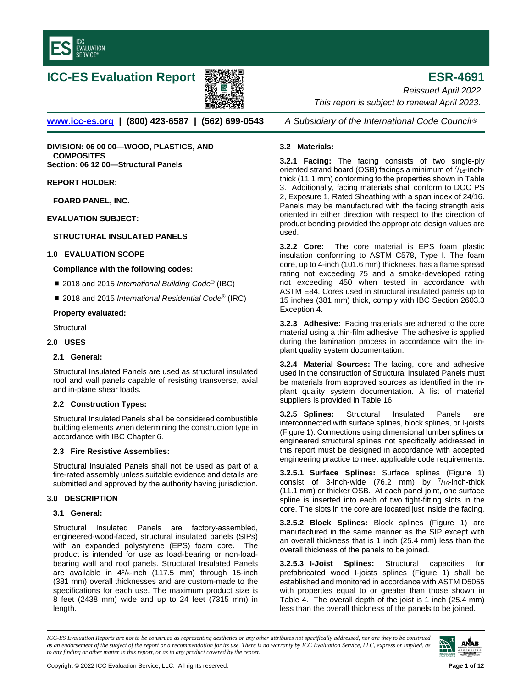

# **ICC-ES Evaluation Report ESR-4691**



**[www.icc-es.org](http://www.icc-es.org/) | (800) 423-6587 | (562) 699-0543** *A Subsidiary of the International Code Council* ®

**DIVISION: 06 00 00—WOOD, PLASTICS, AND COMPOSITES Section: 06 12 00—Structural Panels**

**REPORT HOLDER:**

**FOARD PANEL, INC.**

**EVALUATION SUBJECT:** 

# **STRUCTURAL INSULATED PANELS**

## **1.0 EVALUATION SCOPE**

## **Compliance with the following codes:**

- 2018 and 2015 *International Building Code<sup>®</sup>* (IBC)
- 2018 and 2015 *International Residential Code<sup>®</sup>* (IRC)

## **Property evaluated:**

**Structural** 

## **2.0 USES**

## **2.1 General:**

Structural Insulated Panels are used as structural insulated roof and wall panels capable of resisting transverse, axial and in-plane shear loads.

# **2.2 Construction Types:**

Structural Insulated Panels shall be considered combustible building elements when determining the construction type in accordance with IBC Chapter 6.

# **2.3 Fire Resistive Assemblies:**

Structural Insulated Panels shall not be used as part of a fire-rated assembly unless suitable evidence and details are submitted and approved by the authority having jurisdiction.

## **3.0 DESCRIPTION**

## **3.1 General:**

Structural Insulated Panels are factory-assembled, engineered-wood-faced, structural insulated panels (SIPs) with an expanded polystyrene (EPS) foam core. The product is intended for use as load-bearing or non-loadbearing wall and roof panels. Structural Insulated Panels are available in  $4^5$ /8-inch (117.5 mm) through 15-inch (381 mm) overall thicknesses and are custom-made to the specifications for each use. The maximum product size is 8 feet (2438 mm) wide and up to 24 feet (7315 mm) in length.

*Reissued April 2022 This report is subject to renewal April 2023.*

# **3.2 Materials:**

**3.2.1 Facing:** The facing consists of two single-ply oriented strand board (OSB) facings a minimum of  $\frac{7}{16}$ -inchthick (11.1 mm) conforming to the properties shown in Table 3. Additionally, facing materials shall conform to DOC PS 2, Exposure 1, Rated Sheathing with a span index of 24/16. Panels may be manufactured with the facing strength axis oriented in either direction with respect to the direction of product bending provided the appropriate design values are used.

**3.2.2 Core:** The core material is EPS foam plastic insulation conforming to ASTM C578, Type I. The foam core, up to 4-inch (101.6 mm) thickness, has a flame spread rating not exceeding 75 and a smoke-developed rating not exceeding 450 when tested in accordance with ASTM E84. Cores used in structural insulated panels up to 15 inches (381 mm) thick, comply with IBC Section 2603.3 Exception 4.

**3.2.3 Adhesive:** Facing materials are adhered to the core material using a thin-film adhesive. The adhesive is applied during the lamination process in accordance with the inplant quality system documentation.

**3.2.4 Material Sources:** The facing, core and adhesive used in the construction of Structural Insulated Panels must be materials from approved sources as identified in the inplant quality system documentation. A list of material suppliers is provided in Table 16.

**3.2.5 Splines:** Structural Insulated Panels are interconnected with surface splines, block splines, or I-joists (Figure 1). Connections using dimensional lumber splines or engineered structural splines not specifically addressed in this report must be designed in accordance with accepted engineering practice to meet applicable code requirements.

**3.2.5.1 Surface Splines:** Surface splines (Figure 1) consist of 3-inch-wide (76.2 mm) by  $\frac{7}{16}$ -inch-thick (11.1 mm) or thicker OSB. At each panel joint, one surface spline is inserted into each of two tight-fitting slots in the core. The slots in the core are located just inside the facing.

**3.2.5.2 Block Splines:** Block splines (Figure 1) are manufactured in the same manner as the SIP except with an overall thickness that is 1 inch (25.4 mm) less than the overall thickness of the panels to be joined.

**3.2.5.3 I-Joist Splines:** Structural capacities for prefabricated wood I-joists splines (Figure 1) shall be established and monitored in accordance with ASTM D5055 with properties equal to or greater than those shown in Table 4. The overall depth of the joist is 1 inch (25.4 mm) less than the overall thickness of the panels to be joined.

*ICC-ES Evaluation Reports are not to be construed as representing aesthetics or any other attributes not specifically addressed, nor are they to be construed as an endorsement of the subject of the report or a recommendation for its use. There is no warranty by ICC Evaluation Service, LLC, express or implied, as to any finding or other matter in this report, or as to any product covered by the report.*

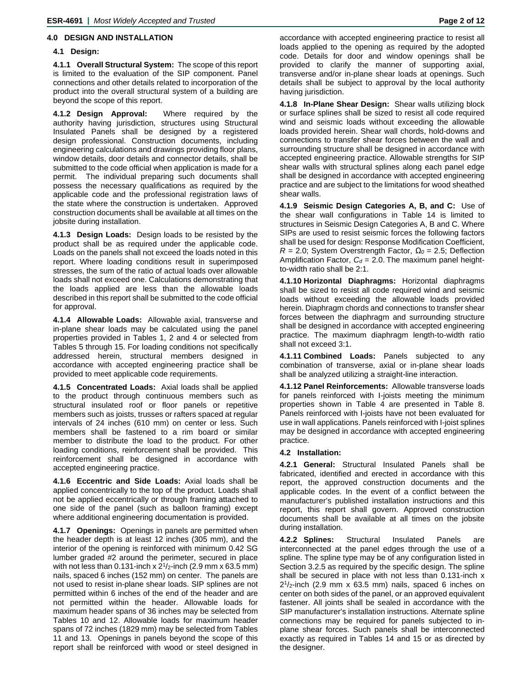# **4.0 DESIGN AND INSTALLATION**

# **4.1 Design:**

**4.1.1 Overall Structural System:** The scope of this report is limited to the evaluation of the SIP component. Panel connections and other details related to incorporation of the product into the overall structural system of a building are beyond the scope of this report.

**4.1.2 Design Approval:** Where required by the authority having jurisdiction, structures using Structural Insulated Panels shall be designed by a registered design professional. Construction documents, including engineering calculations and drawings providing floor plans, window details, door details and connector details, shall be submitted to the code official when application is made for a permit. The individual preparing such documents shall possess the necessary qualifications as required by the applicable code and the professional registration laws of the state where the construction is undertaken. Approved construction documents shall be available at all times on the jobsite during installation.

**4.1.3 Design Loads:** Design loads to be resisted by the product shall be as required under the applicable code. Loads on the panels shall not exceed the loads noted in this report. Where loading conditions result in superimposed stresses, the sum of the ratio of actual loads over allowable loads shall not exceed one. Calculations demonstrating that the loads applied are less than the allowable loads described in this report shall be submitted to the code official for approval.

**4.1.4 Allowable Loads:** Allowable axial, transverse and in-plane shear loads may be calculated using the panel properties provided in Tables 1, 2 and 4 or selected from Tables 5 through 15. For loading conditions not specifically addressed herein, structural members designed in accordance with accepted engineering practice shall be provided to meet applicable code requirements.

**4.1.5 Concentrated Loads:** Axial loads shall be applied to the product through continuous members such as structural insulated roof or floor panels or repetitive members such as joists, trusses or rafters spaced at regular intervals of 24 inches (610 mm) on center or less. Such members shall be fastened to a rim board or similar member to distribute the load to the product. For other loading conditions, reinforcement shall be provided. This reinforcement shall be designed in accordance with accepted engineering practice.

**4.1.6 Eccentric and Side Loads:** Axial loads shall be applied concentrically to the top of the product. Loads shall not be applied eccentrically or through framing attached to one side of the panel (such as balloon framing) except where additional engineering documentation is provided.

**4.1.7 Openings:** Openings in panels are permitted when the header depth is at least 12 inches (305 mm), and the interior of the opening is reinforced with minimum 0.42 SG lumber graded #2 around the perimeter, secured in place with not less than 0.131-inch x  $2^{1}/2$ -inch (2.9 mm x 63.5 mm) nails, spaced 6 inches (152 mm) on center. The panels are not used to resist in-plane shear loads. SIP splines are not permitted within 6 inches of the end of the header and are not permitted within the header. Allowable loads for maximum header spans of 36 inches may be selected from Tables 10 and 12. Allowable loads for maximum header spans of 72 inches (1829 mm) may be selected from Tables 11 and 13. Openings in panels beyond the scope of this report shall be reinforced with wood or steel designed in

accordance with accepted engineering practice to resist all loads applied to the opening as required by the adopted code. Details for door and window openings shall be provided to clarify the manner of supporting axial, transverse and/or in-plane shear loads at openings. Such details shall be subject to approval by the local authority having jurisdiction.

**4.1.8 In-Plane Shear Design:** Shear walls utilizing block or surface splines shall be sized to resist all code required wind and seismic loads without exceeding the allowable loads provided herein. Shear wall chords, hold-downs and connections to transfer shear forces between the wall and surrounding structure shall be designed in accordance with accepted engineering practice. Allowable strengths for SIP shear walls with structural splines along each panel edge shall be designed in accordance with accepted engineering practice and are subject to the limitations for wood sheathed shear walls.

**4.1.9 Seismic Design Categories A, B, and C:** Use of the shear wall configurations in Table 14 is limited to structures in Seismic Design Categories A, B and C. Where SIPs are used to resist seismic forces the following factors shall be used for design: Response Modification Coefficient, *R* = 2.0; System Overstrength Factor, *Ω<sup>0</sup>* = 2.5; Deflection Amplification Factor,  $C_d$  = 2.0. The maximum panel heightto-width ratio shall be 2:1.

**4.1.10 Horizontal Diaphragms:** Horizontal diaphragms shall be sized to resist all code required wind and seismic loads without exceeding the allowable loads provided herein. Diaphragm chords and connections to transfer shear forces between the diaphragm and surrounding structure shall be designed in accordance with accepted engineering practice. The maximum diaphragm length-to-width ratio shall not exceed 3:1.

**4.1.11 Combined Loads:** Panels subjected to any combination of transverse, axial or in-plane shear loads shall be analyzed utilizing a straight-line interaction.

**4.1.12 Panel Reinforcements:** Allowable transverse loads for panels reinforced with I-joists meeting the minimum properties shown in Table 4 are presented in Table 8. Panels reinforced with I-joists have not been evaluated for use in wall applications. Panels reinforced with I-joist splines may be designed in accordance with accepted engineering practice.

# **4.2 Installation:**

**4.2.1 General:** Structural Insulated Panels shall be fabricated, identified and erected in accordance with this report, the approved construction documents and the applicable codes. In the event of a conflict between the manufacturer's published installation instructions and this report, this report shall govern. Approved construction documents shall be available at all times on the jobsite during installation.

**4.2.2 Splines:** Structural Insulated Panels are interconnected at the panel edges through the use of a spline. The spline type may be of any configuration listed in Section 3.2.5 as required by the specific design. The spline shall be secured in place with not less than 0.131-inch x  $2<sup>1</sup>/2$ -inch (2.9 mm x 63.5 mm) nails, spaced 6 inches on center on both sides of the panel, or an approved equivalent fastener. All joints shall be sealed in accordance with the SIP manufacturer's installation instructions. Alternate spline connections may be required for panels subjected to inplane shear forces. Such panels shall be interconnected exactly as required in Tables 14 and 15 or as directed by the designer.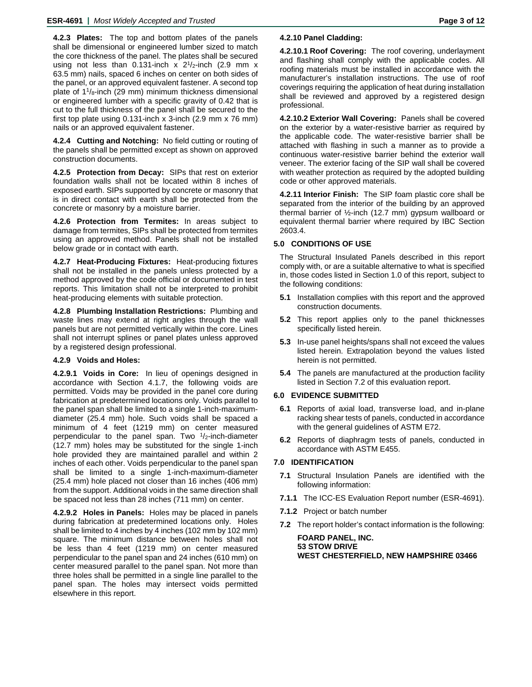**4.2.3 Plates:** The top and bottom plates of the panels shall be dimensional or engineered lumber sized to match the core thickness of the panel. The plates shall be secured using not less than 0.131-inch x  $2^{1}/2$ -inch (2.9 mm x 63.5 mm) nails, spaced 6 inches on center on both sides of the panel, or an approved equivalent fastener. A second top plate of  $1\frac{1}{8}$ -inch (29 mm) minimum thickness dimensional or engineered lumber with a specific gravity of 0.42 that is cut to the full thickness of the panel shall be secured to the first top plate using 0.131-inch x 3-inch (2.9 mm x 76 mm) nails or an approved equivalent fastener.

**4.2.4 Cutting and Notching:** No field cutting or routing of the panels shall be permitted except as shown on approved construction documents.

**4.2.5 Protection from Decay:** SIPs that rest on exterior foundation walls shall not be located within 8 inches of exposed earth. SIPs supported by concrete or masonry that is in direct contact with earth shall be protected from the concrete or masonry by a moisture barrier.

**4.2.6 Protection from Termites:** In areas subject to damage from termites, SIPs shall be protected from termites using an approved method. Panels shall not be installed below grade or in contact with earth.

**4.2.7 Heat-Producing Fixtures:** Heat-producing fixtures shall not be installed in the panels unless protected by a method approved by the code official or documented in test reports. This limitation shall not be interpreted to prohibit heat-producing elements with suitable protection.

**4.2.8 Plumbing Installation Restrictions:** Plumbing and waste lines may extend at right angles through the wall panels but are not permitted vertically within the core. Lines shall not interrupt splines or panel plates unless approved by a registered design professional.

# **4.2.9 Voids and Holes:**

**4.2.9.1 Voids in Core:** In lieu of openings designed in accordance with Section 4.1.7, the following voids are permitted. Voids may be provided in the panel core during fabrication at predetermined locations only. Voids parallel to the panel span shall be limited to a single 1-inch-maximumdiameter (25.4 mm) hole. Such voids shall be spaced a minimum of 4 feet (1219 mm) on center measured perpendicular to the panel span. Two  $1/2$ -inch-diameter (12.7 mm) holes may be substituted for the single 1-inch hole provided they are maintained parallel and within 2 inches of each other. Voids perpendicular to the panel span shall be limited to a single 1-inch-maximum-diameter (25.4 mm) hole placed not closer than 16 inches (406 mm) from the support. Additional voids in the same direction shall be spaced not less than 28 inches (711 mm) on center.

**4.2.9.2 Holes in Panels:** Holes may be placed in panels during fabrication at predetermined locations only. Holes shall be limited to 4 inches by 4 inches (102 mm by 102 mm) square. The minimum distance between holes shall not be less than 4 feet (1219 mm) on center measured perpendicular to the panel span and 24 inches (610 mm) on center measured parallel to the panel span. Not more than three holes shall be permitted in a single line parallel to the panel span. The holes may intersect voids permitted elsewhere in this report.

## **4.2.10 Panel Cladding:**

**4.2.10.1 Roof Covering:** The roof covering, underlayment and flashing shall comply with the applicable codes. All roofing materials must be installed in accordance with the manufacturer's installation instructions. The use of roof coverings requiring the application of heat during installation shall be reviewed and approved by a registered design professional.

**4.2.10.2 Exterior Wall Covering:** Panels shall be covered on the exterior by a water-resistive barrier as required by the applicable code. The water-resistive barrier shall be attached with flashing in such a manner as to provide a continuous water-resistive barrier behind the exterior wall veneer. The exterior facing of the SIP wall shall be covered with weather protection as required by the adopted building code or other approved materials.

**4.2.11 Interior Finish:** The SIP foam plastic core shall be separated from the interior of the building by an approved thermal barrier of ½-inch (12.7 mm) gypsum wallboard or equivalent thermal barrier where required by IBC Section 2603.4.

# **5.0 CONDITIONS OF USE**

The Structural Insulated Panels described in this report comply with, or are a suitable alternative to what is specified in, those codes listed in Section 1.0 of this report, subject to the following conditions:

- **5.1** Installation complies with this report and the approved construction documents.
- **5.2** This report applies only to the panel thicknesses specifically listed herein.
- **5.3** In-use panel heights/spans shall not exceed the values listed herein. Extrapolation beyond the values listed herein is not permitted.
- **5.4** The panels are manufactured at the production facility listed in Section 7.2 of this evaluation report.

## **6.0 EVIDENCE SUBMITTED**

- **6.1** Reports of axial load, transverse load, and in-plane racking shear tests of panels, conducted in accordance with the general guidelines of ASTM E72.
- **6.2** Reports of diaphragm tests of panels, conducted in accordance with ASTM E455.

## **7.0 IDENTIFICATION**

- **7.1** Structural Insulation Panels are identified with the following information:
- **7.1.1** The ICC-ES Evaluation Report number (ESR-4691).
- **7.1.2** Project or batch number
- **7.2** The report holder's contact information is the following:

**FOARD PANEL, INC. 53 STOW DRIVE WEST CHESTERFIELD, NEW HAMPSHIRE 03466**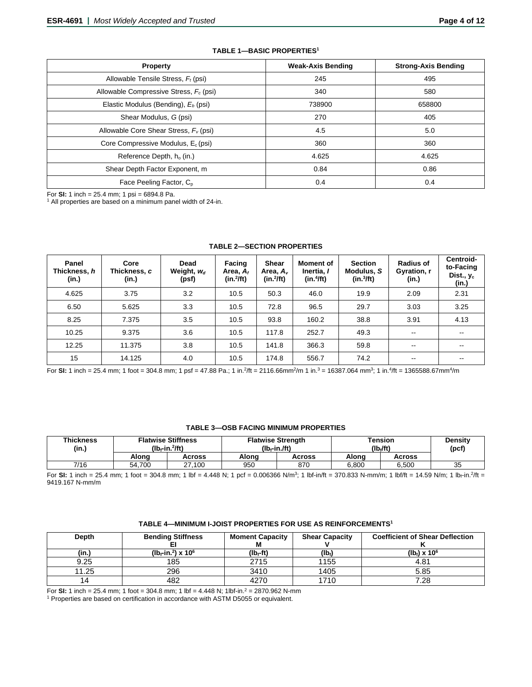| <b>Property</b>                                 | <b>Weak-Axis Bending</b> | <b>Strong-Axis Bending</b> |
|-------------------------------------------------|--------------------------|----------------------------|
| Allowable Tensile Stress, $F_t$ (psi)           | 245                      | 495                        |
| Allowable Compressive Stress, $F_c$ (psi)       | 340                      | 580                        |
| Elastic Modulus (Bending), E <sub>b</sub> (psi) | 738900                   | 658800                     |
| Shear Modulus, G (psi)                          | 270                      | 405                        |
| Allowable Core Shear Stress, $F_v$ (psi)        | 4.5                      | 5.0                        |
| Core Compressive Modulus, $E_c$ (psi)           | 360                      | 360                        |
| Reference Depth, h <sub>o</sub> (in.)           | 4.625                    | 4.625                      |
| Shear Depth Factor Exponent, m                  | 0.84                     | 0.86                       |
| Face Peeling Factor, C <sub>p</sub>             | 0.4                      | 0.4                        |

#### **TABLE 1—BASIC PROPERTIES1**

For **SI:** 1 inch = 25.4 mm; 1 psi = 6894.8 Pa.<br><sup>1</sup> All properties are based on a minimum panel width of 24-in.

| Panel<br>Thickness, h<br>(in.) | Core<br>Thickness, c<br>(in.) | Dead<br>Weight, $w_d$<br>(psf) | Facing<br>Area. $A_t$<br>$(in.^2/ft)$ | Shear<br>Area, $A_{\nu}$<br>$(in.^2/ft)$ | <b>Moment of</b><br>Inertia. I<br>(in.4ft) | <b>Section</b><br>Modulus, S<br>(in.3/ft) | <b>Radius of</b><br>Gyration, r<br>(in.) | Centroid-<br>to-Facing<br>Dist., $y_c$<br>(in.) |
|--------------------------------|-------------------------------|--------------------------------|---------------------------------------|------------------------------------------|--------------------------------------------|-------------------------------------------|------------------------------------------|-------------------------------------------------|
| 4.625                          | 3.75                          | 3.2                            | 10.5                                  | 50.3                                     | 46.0                                       | 19.9                                      | 2.09                                     | 2.31                                            |
| 6.50                           | 5.625                         | 3.3                            | 10.5                                  | 72.8                                     | 96.5                                       | 29.7                                      | 3.03                                     | 3.25                                            |
| 8.25                           | 7.375                         | 3.5                            | 10.5                                  | 93.8                                     | 160.2                                      | 38.8                                      | 3.91                                     | 4.13                                            |
| 10.25                          | 9.375                         | 3.6                            | 10.5                                  | 117.8                                    | 252.7                                      | 49.3                                      | $\overline{\phantom{m}}$                 | --                                              |
| 12.25                          | 11.375                        | 3.8                            | 10.5                                  | 141.8                                    | 366.3                                      | 59.8                                      | $\overline{\phantom{a}}$                 | $- -$                                           |
| 15                             | 14.125                        | 4.0                            | 10.5                                  | 174.8                                    | 556.7                                      | 74.2                                      | $- -$                                    |                                                 |

#### **TABLE 2—SECTION PROPERTIES**

For SI: 1 inch = 25.4 mm; 1 foot = 304.8 mm; 1 psf = 47.88 Pa.; 1 in.<sup>2</sup>/ft = 2116.66mm<sup>2</sup>/m 1 in.<sup>3</sup> = 16387.064 mm<sup>3</sup>; 1 in.<sup>4</sup>/ft = 1365588.67mm<sup>4</sup>/m

#### **TABLE 3—OSB FACING MINIMUM PROPERTIES**

| <b>Thickness</b><br>(in.) | <b>Flatwise Stiffness</b><br>$(Ib-fn.^2/ft)$ |        | (lb <sub>r</sub> -in./ft) | <b>Flatwise Strength</b> | Tension<br>$(Ib_i/ft)$ | Density<br>(pcf) |    |
|---------------------------|----------------------------------------------|--------|---------------------------|--------------------------|------------------------|------------------|----|
|                           | Alona                                        | Across | Alona                     | Across                   | Alona                  | Across           |    |
| 7/16                      | 54.700                                       | 27,100 | 950                       | 870                      | 6.800                  | 6.500            | 35 |

For SI: 1 inch = 25.4 mm; 1 foot = 304.8 mm; 1 lbf = 4.448 N; 1 pcf = 0.006366 N/m<sup>3</sup>; 1 lbf-in/ft = 370.833 N-mm/m; 1 lbf/ft = 14.59 N/m; 1 lb<sub>f</sub>-in.<sup>2</sup>/ft = 9419.167 N-mm/m

| TABLE 4—MINIMUM I-JOIST PROPERTIES FOR USE AS REINFORCEMENTS' |  |  |
|---------------------------------------------------------------|--|--|
|---------------------------------------------------------------|--|--|

| <b>Depth</b> | <b>Bending Stiffness</b>                               | <b>Moment Capacity</b><br>М | <b>Shear Capacity</b> | <b>Coefficient of Shear Deflection</b> |
|--------------|--------------------------------------------------------|-----------------------------|-----------------------|----------------------------------------|
| (in.)        | (lb <sub>f</sub> -in. <sup>2</sup> ) x 10 <sup>6</sup> | $(Ib_f-ft)$                 | (Ib)                  | (lb <sub>f</sub> ) x $10^6$            |
| 9.25         | 185                                                    | 2715                        | 1155                  | 4.81                                   |
| 11.25        | 296                                                    | 3410                        | 1405                  | 5.85                                   |
| 14           | 482                                                    | 4270                        | 1710                  | 7.28                                   |

For **SI:** 1 inch = 25.4 mm; 1 foot = 304.8 mm; 1 lbf = 4.448 N; 1lbf-in.2 = 2870.962 N-mm

<sup>1</sup> Properties are based on certification in accordance with ASTM D5055 or equivalent.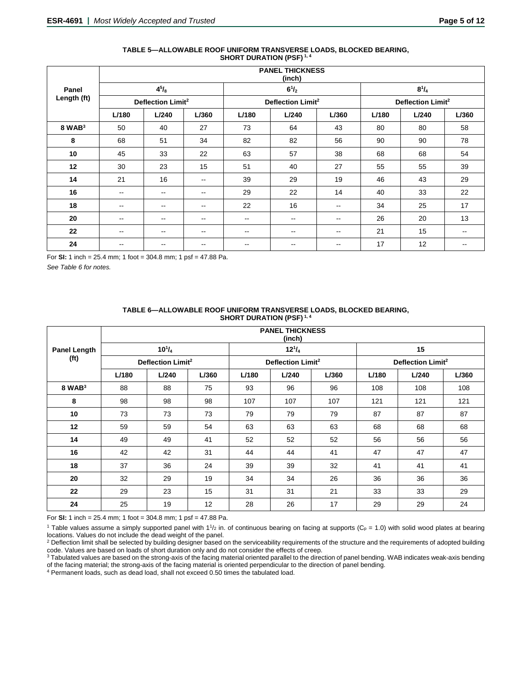|             |                          | <b>PANEL THICKNESS</b><br>(inch) |                          |                          |                               |                          |       |                               |       |  |  |  |  |  |
|-------------|--------------------------|----------------------------------|--------------------------|--------------------------|-------------------------------|--------------------------|-------|-------------------------------|-------|--|--|--|--|--|
| Panel       |                          | $4^{5}/_{8}$                     |                          |                          | $6^{1}/_{2}$                  |                          |       | $8^{1}/_{4}$                  |       |  |  |  |  |  |
| Length (ft) |                          | Deflection Limit <sup>2</sup>    |                          |                          | Deflection Limit <sup>2</sup> |                          |       | Deflection Limit <sup>2</sup> |       |  |  |  |  |  |
|             | L/180                    | L/240                            | L/360                    | L/180                    | L/240                         | L/360                    | L/180 | L/240                         | L/360 |  |  |  |  |  |
| $8$ WAB $3$ | 50                       | 40                               | 27                       | 73                       | 64                            | 43                       | 80    | 80                            | 58    |  |  |  |  |  |
| 8           | 68                       | 51                               | 34                       | 82                       | 82                            | 56                       | 90    | 90                            | 78    |  |  |  |  |  |
| 10          | 45                       | 33                               | 22                       | 63                       | 57                            | 38                       | 68    | 68                            | 54    |  |  |  |  |  |
| 12          | 30                       | 23                               | 15                       | 51                       | 40                            | 27                       | 55    | 55                            | 39    |  |  |  |  |  |
| 14          | 21                       | 16                               | $\overline{\phantom{m}}$ | 39                       | 29                            | 19                       | 46    | 43                            | 29    |  |  |  |  |  |
| 16          | $\overline{\phantom{a}}$ | $\sim$ $\sim$                    | $\overline{\phantom{a}}$ | 29                       | 22                            | 14                       | 40    | 33                            | 22    |  |  |  |  |  |
| 18          | $\overline{\phantom{a}}$ | $\sim$ $\sim$                    | $\overline{\phantom{a}}$ | 22                       | 16                            | $- -$                    | 34    | 25                            | 17    |  |  |  |  |  |
| 20          | $\overline{\phantom{m}}$ | $\sim$ $\sim$                    | $\overline{\phantom{a}}$ | $- -$                    | $\overline{\phantom{m}}$      | $\overline{\phantom{m}}$ | 26    | 20                            | 13    |  |  |  |  |  |
| 22          | $\overline{\phantom{m}}$ | $\overline{\phantom{m}}$         | $\overline{\phantom{a}}$ | $\overline{\phantom{a}}$ | --                            | $\overline{\phantom{a}}$ | 21    | 15                            | --    |  |  |  |  |  |
| 24          | --                       | --                               | $- -$                    | --                       | --                            | $\overline{\phantom{a}}$ | 17    | 12                            | $- -$ |  |  |  |  |  |

#### **TABLE 5—ALLOWABLE ROOF UNIFORM TRANSVERSE LOADS, BLOCKED BEARING, SHORT DURATION (PSF) 1, 4**

For **SI:** 1 inch = 25.4 mm; 1 foot = 304.8 mm; 1 psf = 47.88 Pa.

*See Table 6 for notes.*

|                     |       |                               |       |       | <b>PANEL THICKNESS</b>        |       |       |                               |       |
|---------------------|-------|-------------------------------|-------|-------|-------------------------------|-------|-------|-------------------------------|-------|
|                     |       |                               |       |       | (inch)                        |       |       |                               |       |
| <b>Panel Length</b> |       | $10^{1}/_{4}$                 |       |       | $12^{1}/_{4}$                 |       |       | 15                            |       |
| (f <sub>t</sub> )   |       | Deflection Limit <sup>2</sup> |       |       | Deflection Limit <sup>2</sup> |       |       | Deflection Limit <sup>2</sup> |       |
|                     | L/180 | L/240                         | L/360 | L/180 | L/240                         | L/360 | L/180 | L/240                         | L/360 |
| $8$ WAB $3$         | 88    | 88                            | 75    | 93    | 96                            | 96    | 108   | 108                           | 108   |
| 8                   | 98    | 98                            | 98    | 107   | 107                           | 107   | 121   | 121                           | 121   |
| 10                  | 73    | 73                            | 73    | 79    | 79                            | 79    | 87    | 87                            | 87    |
| 12                  | 59    | 59                            | 54    | 63    | 63                            | 63    | 68    | 68                            | 68    |
| 14                  | 49    | 49                            | 41    | 52    | 52                            | 52    | 56    | 56                            | 56    |
| 16                  | 42    | 42                            | 31    | 44    | 44                            | 41    | 47    | 47                            | 47    |
| 18                  | 37    | 36                            | 24    | 39    | 39                            | 32    | 41    | 41                            | 41    |
| 20                  | 32    | 29                            | 19    | 34    | 34                            | 26    | 36    | 36                            | 36    |
| 22                  | 29    | 23                            | 15    | 31    | 31                            | 21    | 33    | 33                            | 29    |
| 24                  | 25    | 19                            | 12    | 28    | 26                            | 17    | 29    | 29                            | 24    |

#### **TABLE 6—ALLOWABLE ROOF UNIFORM TRANSVERSE LOADS, BLOCKED BEARING, SHORT DURATION (PSF) 1, 4**

For **SI:** 1 inch = 25.4 mm; 1 foot = 304.8 mm; 1 psf = 47.88 Pa.

<sup>1</sup> Table values assume a simply supported panel with  $1\frac{1}{2}$  in. of continuous bearing on facing at supports (C<sub>p</sub> = 1.0) with solid wood plates at bearing locations. Values do not include the dead weight of the panel.

<sup>2</sup> Deflection limit shall be selected by building designer based on the serviceability requirements of the structure and the requirements of adopted building code. Values are based on loads of short duration only and do not consider the effects of creep.

<sup>3</sup> Tabulated values are based on the strong-axis of the facing material oriented parallel to the direction of panel bending. WAB indicates weak-axis bending of the facing material; the strong-axis of the facing material is oriented perpendicular to the direction of panel bending.

<sup>4</sup> Permanent loads, such as dead load, shall not exceed 0.50 times the tabulated load.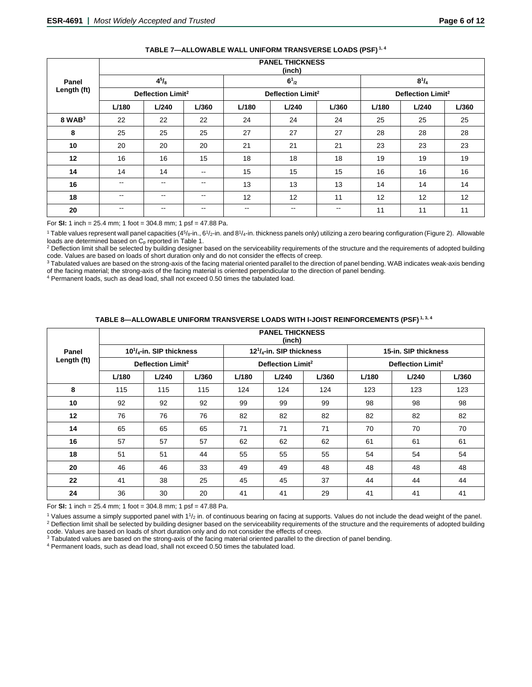|             |                          | PANEL INIUNNESS<br>(inch)     |                          |                          |                               |       |       |                               |       |  |  |  |  |
|-------------|--------------------------|-------------------------------|--------------------------|--------------------------|-------------------------------|-------|-------|-------------------------------|-------|--|--|--|--|
| Panel       |                          | $4^{5}/_{8}$                  |                          |                          | $6^{1}_{2}$                   |       |       | $8^{1}/_{4}$                  |       |  |  |  |  |
| Length (ft) |                          | Deflection Limit <sup>2</sup> |                          |                          | Deflection Limit <sup>2</sup> |       |       | Deflection Limit <sup>2</sup> |       |  |  |  |  |
|             | L/180                    | L/240                         | L/360                    | L/180                    | L/240                         | L/360 | L/180 | L/240                         | L/360 |  |  |  |  |
| $8$ WAB $3$ | 22                       | 22                            | 22                       | 24                       | 24                            | 24    | 25    | 25                            | 25    |  |  |  |  |
| 8           | 25                       | 25                            | 25                       | 27                       | 27                            | 27    | 28    | 28                            | 28    |  |  |  |  |
| 10          | 20                       | 20                            | 20                       | 21                       | 21                            | 21    | 23    | 23                            | 23    |  |  |  |  |
| 12          | 16                       | 16                            | 15                       | 18                       | 18                            | 18    | 19    | 19                            | 19    |  |  |  |  |
| 14          | 14                       | 14                            | $\sim$ $\sim$            | 15                       | 15                            | 15    | 16    | 16                            | 16    |  |  |  |  |
| 16          | $\overline{\phantom{m}}$ | --                            | $\overline{\phantom{m}}$ | 13                       | 13                            | 13    | 14    | 14                            | 14    |  |  |  |  |
| 18          | $\overline{\phantom{m}}$ | $- -$                         | $\overline{\phantom{a}}$ | 12                       | 12                            | 11    | 12    | 12                            | 12    |  |  |  |  |
| 20          | $\overline{\phantom{m}}$ | --                            | $\overline{\phantom{m}}$ | $\overline{\phantom{m}}$ | --                            | $- -$ | 11    | 11                            | 11    |  |  |  |  |

#### **TABLE 7—ALLOWABLE WALL UNIFORM TRANSVERSE LOADS (PSF) 1, 4**

**PANEL THICKNESS**

For **SI:** 1 inch = 25.4 mm; 1 foot = 304.8 mm; 1 psf = 47.88 Pa.

<sup>1</sup> Table values represent wall panel capacities (4<sup>5</sup>/8-in., 6<sup>1</sup>/2-in. and 8<sup>1</sup>/4-in. thickness panels only) utilizing a zero bearing configuration (Figure 2). Allowable

loads are determined based on C<sub>p</sub> reported in Table 1.<br><sup>2</sup> Deflection limit shall be selected by building designer based on the serviceability requirements of the structure and the requirements of adopted building code. Values are based on loads of short duration only and do not consider the effects of creep.

<sup>3</sup> Tabulated values are based on the strong-axis of the facing material oriented parallel to the direction of panel bending. WAB indicates weak-axis bending of the facing material; the strong-axis of the facing material is oriented perpendicular to the direction of panel bending.

<sup>4</sup> Permanent loads, such as dead load, shall not exceed 0.50 times the tabulated load.

# **TABLE 8—ALLOWABLE UNIFORM TRANSVERSE LOADS WITH I-JOIST REINFORCEMENTS (PSF) 1, 3, 4**

|             |       | <b>PANEL THICKNESS</b><br>(inch)                  |     |       |                                  |       |       |                               |       |  |  |  |  |  |
|-------------|-------|---------------------------------------------------|-----|-------|----------------------------------|-------|-------|-------------------------------|-------|--|--|--|--|--|
| Panel       |       | 10 <sup>1</sup> / <sub>4</sub> -in. SIP thickness |     |       | $12^{1}/_{4}$ -in. SIP thickness |       |       | 15-in. SIP thickness          |       |  |  |  |  |  |
| Length (ft) |       | Deflection Limit <sup>2</sup>                     |     |       | Deflection Limit <sup>2</sup>    |       |       | Deflection Limit <sup>2</sup> |       |  |  |  |  |  |
|             | L/180 | L/240<br>L/360                                    |     | L/180 | L/240                            | L/360 | L/180 | L/240                         | L/360 |  |  |  |  |  |
| 8           | 115   | 115                                               | 115 | 124   | 124                              | 124   | 123   | 123                           | 123   |  |  |  |  |  |
| 10          | 92    | 92                                                | 92  | 99    | 99                               | 99    | 98    | 98                            | 98    |  |  |  |  |  |
| 12          | 76    | 76                                                | 76  | 82    | 82                               | 82    | 82    | 82                            | 82    |  |  |  |  |  |
| 14          | 65    | 65                                                | 65  | 71    | 71                               | 71    | 70    | 70                            | 70    |  |  |  |  |  |
| 16          | 57    | 57                                                | 57  | 62    | 62                               | 62    | 61    | 61                            | 61    |  |  |  |  |  |
| 18          | 51    | 51                                                | 44  | 55    | 55                               | 55    | 54    | 54                            | 54    |  |  |  |  |  |
| 20          | 46    | 46                                                | 33  | 49    | 49                               | 48    | 48    | 48                            | 48    |  |  |  |  |  |
| 22          | 41    | 38                                                | 25  | 45    | 45                               | 37    | 44    | 44                            | 44    |  |  |  |  |  |
| 24          | 36    | 30                                                | 20  | 41    | 41                               | 29    | 41    | 41                            | 41    |  |  |  |  |  |

For **SI:** 1 inch = 25.4 mm; 1 foot = 304.8 mm; 1 psf = 47.88 Pa.

 $1$  Values assume a simply supported panel with  $11/2$  in. of continuous bearing on facing at supports. Values do not include the dead weight of the panel. <sup>2</sup> Deflection limit shall be selected by building designer based on the serviceability requirements of the structure and the requirements of adopted building code. Values are based on loads of short duration only and do not consider the effects of creep.

<sup>3</sup> Tabulated values are based on the strong-axis of the facing material oriented parallel to the direction of panel bending.

<sup>4</sup> Permanent loads, such as dead load, shall not exceed 0.50 times the tabulated load.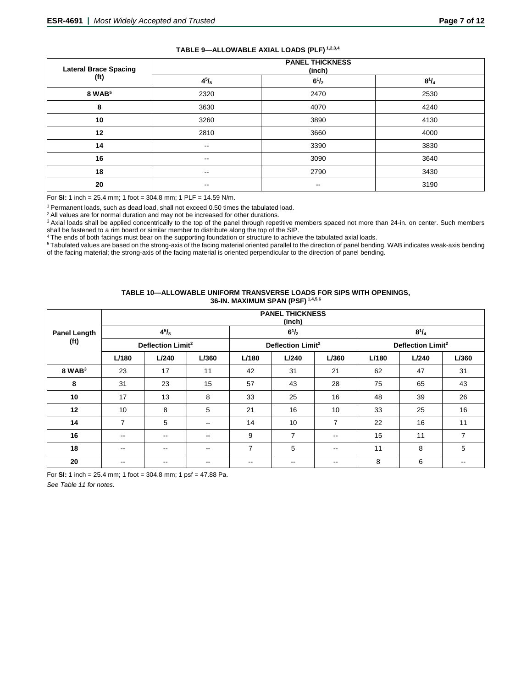|                              |                          | $\sim$                           |              |
|------------------------------|--------------------------|----------------------------------|--------------|
| <b>Lateral Brace Spacing</b> |                          | <b>PANEL THICKNESS</b><br>(inch) |              |
| (ft)                         | $4^{5}/_{8}$             | $6^{1}/_{2}$                     | $8^{1}/_{4}$ |
| 8 WAB <sup>5</sup>           | 2320                     | 2470                             | 2530         |
| 8                            | 3630                     | 4070                             | 4240         |
| 10                           | 3260                     | 3890                             | 4130         |
| 12                           | 2810                     | 3660                             | 4000         |
| 14                           | $\overline{\phantom{a}}$ | 3390                             | 3830         |
| 16                           | $\overline{\phantom{a}}$ | 3090                             | 3640         |
| 18                           | $\overline{\phantom{a}}$ | 2790                             | 3430         |
| 20                           | $\overline{\phantom{a}}$ | $-$                              | 3190         |
|                              |                          |                                  |              |

#### **TABLE 9—ALLOWABLE AXIAL LOADS (PLF) 1,2,3,4**

For **SI:** 1 inch = 25.4 mm; 1 foot = 304.8 mm; 1 PLF = 14.59 N/m.

<sup>1</sup> Permanent loads, such as dead load, shall not exceed 0.50 times the tabulated load.

<sup>2</sup> All values are for normal duration and may not be increased for other durations.

<sup>3</sup> Axial loads shall be applied concentrically to the top of the panel through repetitive members spaced not more than 24-in. on center. Such members shall be fastened to a rim board or similar member to distribute along the top of the SIP.

4 The ends of both facings must bear on the supporting foundation or structure to achieve the tabulated axial loads.

5 Tabulated values are based on the strong-axis of the facing material oriented parallel to the direction of panel bending. WAB indicates weak-axis bending of the facing material; the strong-axis of the facing material is oriented perpendicular to the direction of panel bending.

## **TABLE 10—ALLOWABLE UNIFORM TRANSVERSE LOADS FOR SIPS WITH OPENINGS, 36-IN. MAXIMUM SPAN (PSF) 1,4,5,6**

|                                          |                          | <b>PANEL THICKNESS</b><br>(inch) |                          |                          |                               |                          |       |                               |       |  |  |  |  |  |
|------------------------------------------|--------------------------|----------------------------------|--------------------------|--------------------------|-------------------------------|--------------------------|-------|-------------------------------|-------|--|--|--|--|--|
| <b>Panel Length</b><br>(f <sub>t</sub> ) |                          | $4^{5}/_{8}$                     |                          |                          | $6^{1}/_{2}$                  |                          |       | $8^{1}/_{4}$                  |       |  |  |  |  |  |
|                                          |                          | Deflection Limit <sup>2</sup>    |                          |                          | Deflection Limit <sup>2</sup> |                          |       | Deflection Limit <sup>2</sup> |       |  |  |  |  |  |
|                                          | L/180                    | L/240                            | L/360                    | L/180                    | L/240                         | L/360                    | L/180 | L/240                         | L/360 |  |  |  |  |  |
| $8$ WAB $3$                              | 23                       | 17                               | 11                       | 42                       | 31                            | 21                       | 62    | 47                            | 31    |  |  |  |  |  |
| 8                                        | 31                       | 23                               | 15                       | 57                       | 43                            | 28                       | 75    | 65                            | 43    |  |  |  |  |  |
| 10                                       | 17                       | 13                               | 8                        | 33                       | 25                            | 16                       | 48    | 39                            | 26    |  |  |  |  |  |
| 12                                       | 10                       | 8                                | 5                        | 21                       | 16                            | 10                       | 33    | 25                            | 16    |  |  |  |  |  |
| 14                                       | $\overline{7}$           | 5                                | $-$                      | 14                       | 10                            | $\overline{7}$           | 22    | 16                            | 11    |  |  |  |  |  |
| 16                                       | $\overline{\phantom{m}}$ | --                               | $-$                      | 9                        | 7                             | $\overline{\phantom{m}}$ | 15    | 11                            | 7     |  |  |  |  |  |
| 18                                       | $\overline{\phantom{m}}$ | --                               | $\overline{\phantom{m}}$ | 7                        | 5                             | $\overline{\phantom{m}}$ | 11    | 8                             | 5     |  |  |  |  |  |
| 20                                       | $- -$                    | $- -$                            | $\overline{\phantom{m}}$ | $\overline{\phantom{m}}$ | --                            | $\overline{\phantom{m}}$ | 8     | 6                             | --    |  |  |  |  |  |

For **SI:** 1 inch = 25.4 mm; 1 foot = 304.8 mm; 1 psf = 47.88 Pa.

*See Table 11 for notes.*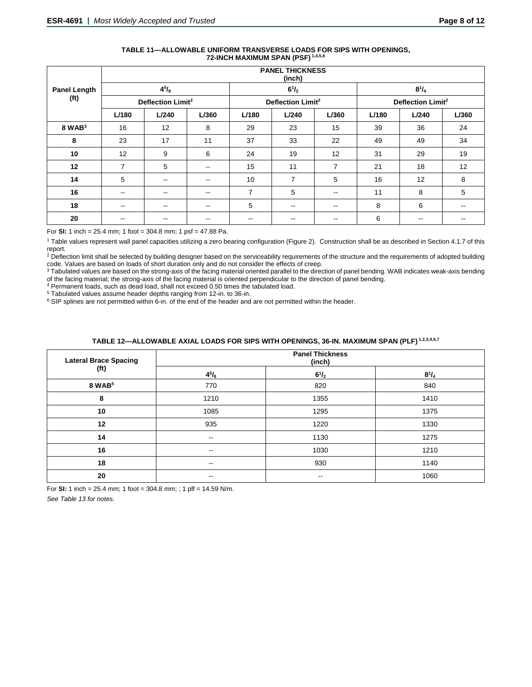|                                          |                               | <b>PANEL THICKNESS</b><br>(inch) |       |                          |                               |                          |       |                               |       |  |  |  |  |
|------------------------------------------|-------------------------------|----------------------------------|-------|--------------------------|-------------------------------|--------------------------|-------|-------------------------------|-------|--|--|--|--|
| <b>Panel Length</b><br>(f <sub>t</sub> ) |                               | $4^{5}/_{8}$                     |       |                          | $6^{1}/_{2}$                  |                          |       | $8^{1}/_{4}$                  |       |  |  |  |  |
|                                          | Deflection Limit <sup>2</sup> |                                  |       |                          | Deflection Limit <sup>2</sup> |                          |       | Deflection Limit <sup>2</sup> |       |  |  |  |  |
|                                          | L/180                         | L/240                            | L/360 | L/180                    | L/240                         | L/360                    | L/180 | L/240                         | L/360 |  |  |  |  |
| $8$ WAB $3$                              | 16                            | 12                               | 8     | 29                       | 23                            | 15                       | 39    | 36                            | 24    |  |  |  |  |
| 8                                        | 23                            | 17                               | 11    | 37                       | 33                            | 22                       | 49    | 49                            | 34    |  |  |  |  |
| 10                                       | 12                            | 9                                | 6     | 24                       | 19                            | 12                       | 31    | 29                            | 19    |  |  |  |  |
| 12                                       | $\overline{7}$                | 5                                | --    | 15                       | 11                            | 7                        | 21    | 18                            | 12    |  |  |  |  |
| 14                                       | 5                             | $\overline{\phantom{m}}$         | $- -$ | 10                       | 7                             | 5                        | 16    | 12                            | 8     |  |  |  |  |
| 16                                       | $\overline{\phantom{a}}$      | $- -$                            | --    | $\overline{7}$           | 5                             | $\overline{\phantom{m}}$ | 11    | 8                             | 5     |  |  |  |  |
| 18                                       | $\overline{\phantom{a}}$      | $\sim$ $\sim$                    | $- -$ | 5                        | $\overline{\phantom{m}}$      | $\overline{\phantom{a}}$ | 8     | 6                             | $- -$ |  |  |  |  |
| 20                                       | $- -$                         | $- -$                            | $- -$ | $\overline{\phantom{m}}$ | $\sim$ $\sim$                 | $\overline{\phantom{a}}$ | 6     | $\sim$ $\sim$                 | --    |  |  |  |  |

## **TABLE 11—ALLOWABLE UNIFORM TRANSVERSE LOADS FOR SIPS WITH OPENINGS, 72-INCH MAXIMUM SPAN (PSF) 1,4,5,6**

For **SI:** 1 inch = 25.4 mm; 1 foot = 304.8 mm; 1 psf = 47.88 Pa.

<sup>1</sup> Table values represent wall panel capacities utilizing a zero bearing configuration (Figure 2). Construction shall be as described in Section 4.1.7 of this report.

<sup>2</sup> Deflection limit shall be selected by building designer based on the serviceability requirements of the structure and the requirements of adopted building code. Values are based on loads of short duration only and do not consider the effects of creep.

<sup>3</sup> Tabulated values are based on the strong-axis of the facing material oriented parallel to the direction of panel bending. WAB indicates weak-axis bending of the facing material; the strong-axis of the facing material is oriented perpendicular to the direction of panel bending.

<sup>4</sup> Permanent loads, such as dead load, shall not exceed 0.50 times the tabulated load.<br><sup>5</sup> Tabulated values assume header depths ranging from 12-in. to 36-in.

 $6$  SIP splines are not permitted within 6-in. of the end of the header and are not permitted within the header.

# **TABLE 12—ALLOWABLE AXIAL LOADS FOR SIPS WITH OPENINGS, 36-IN. MAXIMUM SPAN (PLF) 1,2,3,4,6,7**

| <b>Lateral Brace Spacing</b><br>(f <sub>t</sub> ) | <b>Panel Thickness</b><br>(inch) |                          |              |
|---------------------------------------------------|----------------------------------|--------------------------|--------------|
|                                                   | $4^{5}/_{8}$                     | $6^{1}/_{2}$             | $8^{1}/_{4}$ |
| 8 WAB <sup>5</sup>                                | 770                              | 820                      | 840          |
| 8                                                 | 1210                             | 1355                     | 1410         |
| 10                                                | 1085                             | 1295                     | 1375         |
| 12                                                | 935                              | 1220                     | 1330         |
| 14                                                | $- -$                            | 1130                     | 1275         |
| 16                                                | $- -$                            | 1030                     | 1210         |
| 18                                                | $\overline{\phantom{a}}$         | 930                      | 1140         |
| 20                                                | $- -$                            | $\overline{\phantom{m}}$ | 1060         |

For **SI:** 1 inch = 25.4 mm; 1 foot = 304.8 mm; ; 1 plf = 14.59 N/m.

*See Table 13 for notes.*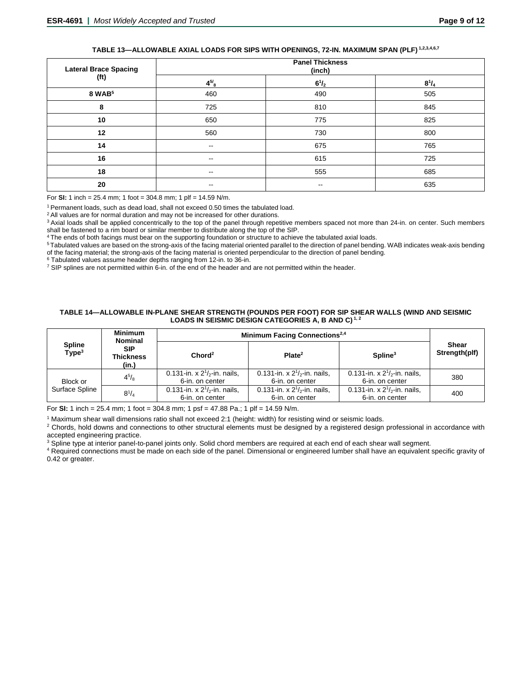# **TABLE 13—ALLOWABLE AXIAL LOADS FOR SIPS WITH OPENINGS, 72-IN. MAXIMUM SPAN (PLF) 1,2,3,4,6,7**

| <b>Lateral Brace Spacing</b><br>(ft) | <b>Panel Thickness</b><br>(inch) |                          |              |
|--------------------------------------|----------------------------------|--------------------------|--------------|
|                                      | $4^{5/8}$                        | $6^{1}/_{2}$             | $8^{1}/_{4}$ |
| 8 WAB <sup>5</sup>                   | 460                              | 490                      | 505          |
| 8                                    | 725                              | 810                      | 845          |
| 10                                   | 650                              | 775                      | 825          |
| 12                                   | 560                              | 730                      | 800          |
| 14                                   | $\overline{\phantom{a}}$         | 675                      | 765          |
| 16                                   | --                               | 615                      | 725          |
| 18                                   | $\overline{\phantom{m}}$         | 555                      | 685          |
| 20                                   | --                               | $\overline{\phantom{m}}$ | 635          |

For **SI:** 1 inch = 25.4 mm; 1 foot = 304.8 mm; 1 plf = 14.59 N/m.

1 Permanent loads, such as dead load, shall not exceed 0.50 times the tabulated load.

<sup>2</sup> All values are for normal duration and may not be increased for other durations.

<sup>3</sup> Axial loads shall be applied concentrically to the top of the panel through repetitive members spaced not more than 24-in. on center. Such members shall be fastened to a rim board or similar member to distribute along the top of the SIP.

4 The ends of both facings must bear on the supporting foundation or structure to achieve the tabulated axial loads.

5 Tabulated values are based on the strong-axis of the facing material oriented parallel to the direction of panel bending. WAB indicates weak-axis bending of the facing material; the strong-axis of the facing material is oriented perpendicular to the direction of panel bending.<br><sup>6</sup> Tabulated values assume header depths ranging from 12-in. to 36-in.

<sup>7</sup> SIP splines are not permitted within 6-in. of the end of the header and are not permitted within the header.

#### **TABLE 14—ALLOWABLE IN-PLANE SHEAR STRENGTH (POUNDS PER FOOT) FOR SIP SHEAR WALLS (WIND AND SEISMIC LOADS IN SEISMIC DESIGN CATEGORIES A, B AND C) 1, 2**

| <b>Spline</b><br>Type <sup>3</sup> | <b>Minimum</b><br><b>Nominal</b>        | Minimum Facing Connections <sup>2,4</sup>            |                                                      |                                                      |                               |
|------------------------------------|-----------------------------------------|------------------------------------------------------|------------------------------------------------------|------------------------------------------------------|-------------------------------|
|                                    | <b>SIP</b><br><b>Thickness</b><br>(in.) | Chord <sup>2</sup>                                   | Plate <sup>2</sup>                                   | $S$ pline <sup>3</sup>                               | <b>Shear</b><br>Strength(plf) |
| Block or                           | $4^{5}/_{8}$                            | 0.131-in. x $2^{1/2}$ -in. nails,<br>6-in. on center | 0.131-in. x $2^{1/2}$ -in. nails,<br>6-in. on center | 0.131-in. x $2^{1/2}$ -in. nails.<br>6-in. on center | 380                           |
| Surface Spline                     | $8^{1}/_{4}$                            | 0.131-in. x $2^{1}/2$ -in. nails,<br>6-in. on center | 0.131-in. x $2^{1}/2$ -in. nails,<br>6-in. on center | 0.131-in. x $2^{1}/2$ -in. nails,<br>6-in. on center | 400                           |

For **SI:** 1 inch = 25.4 mm; 1 foot = 304.8 mm; 1 psf = 47.88 Pa.; 1 plf = 14.59 N/m.

<sup>1</sup> Maximum shear wall dimensions ratio shall not exceed 2:1 (height: width) for resisting wind or seismic loads.

<sup>2</sup> Chords, hold downs and connections to other structural elements must be designed by a registered design professional in accordance with accepted engineering practice.

<sup>3</sup> Spline type at interior panel-to-panel joints only. Solid chord members are required at each end of each shear wall segment.

<sup>4</sup> Required connections must be made on each side of the panel. Dimensional or engineered lumber shall have an equivalent specific gravity of 0.42 or greater.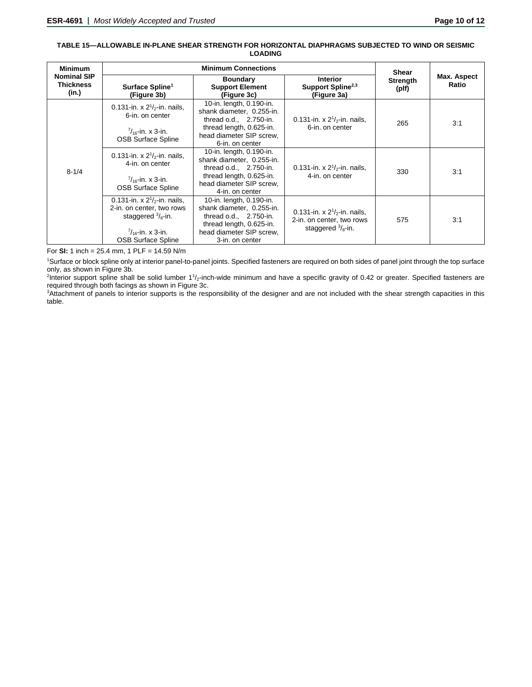#### **TABLE 15—ALLOWABLE IN-PLANE SHEAR STRENGTH FOR HORIZONTAL DIAPHRAGMS SUBJECTED TO WIND OR SEISMIC LOADING**

| <b>Minimum</b>                                  | <b>Minimum Connections</b>                                                                                                                                 |                                                                                                                                                              |                                                                                                | <b>Shear</b>             |                      |
|-------------------------------------------------|------------------------------------------------------------------------------------------------------------------------------------------------------------|--------------------------------------------------------------------------------------------------------------------------------------------------------------|------------------------------------------------------------------------------------------------|--------------------------|----------------------|
| <b>Nominal SIP</b><br><b>Thickness</b><br>(in.) | Surface Spline <sup>1</sup><br>(Figure 3b)                                                                                                                 | <b>Boundary</b><br><b>Support Element</b><br>(Figure 3c)                                                                                                     | <b>Interior</b><br>Support Spline <sup>2,3</sup><br>(Figure 3a)                                | <b>Strength</b><br>(plf) | Max. Aspect<br>Ratio |
| $8 - 1/4$                                       | 0.131-in. x $2^{1}/2$ -in. nails,<br>6-in. on center<br>$\frac{7}{16}$ -in. x 3-in.<br><b>OSB Surface Spline</b>                                           | 10-in. length, 0.190-in.<br>shank diameter, 0.255-in.<br>thread $o.d., 2.750-in.$<br>thread length, 0.625-in.<br>head diameter SIP screw.<br>6-in. on center | 0.131-in. x $2^{1}/2$ -in. nails.<br>6-in, on center                                           | 265                      | 3:1                  |
|                                                 | 0.131-in. x $2^{1}/2$ -in. nails,<br>4-in. on center<br>$\frac{7}{16}$ -in. x 3-in.<br><b>OSB Surface Spline</b>                                           | 10-in. length, 0.190-in.<br>shank diameter, 0.255-in.<br>thread $o.d., 2.750-in.$<br>thread length, 0.625-in.<br>head diameter SIP screw.<br>4-in. on center | 0.131-in. x $2^{1}/_{2}$ -in. nails,<br>4-in. on center                                        | 330                      | 3:1                  |
|                                                 | 0.131-in. x $2^{1}/2$ -in. nails.<br>2-in. on center, two rows<br>staggered $\frac{3}{8}$ -in.<br>$\frac{7}{16}$ -in. x 3-in.<br><b>OSB Surface Spline</b> | 10-in. length, 0.190-in.<br>shank diameter, 0.255-in.<br>thread o.d., 2.750-in.<br>thread length, 0.625-in.<br>head diameter SIP screw,<br>3-in. on center   | 0.131-in. x $2^{1}/2$ -in. nails,<br>2-in. on center, two rows<br>staggered $\frac{3}{8}$ -in. | 575                      | 3:1                  |

For **SI:** 1 inch = 25.4 mm, 1 PLF = 14.59 N/m

1 Surface or block spline only at interior panel-to-panel joints. Specified fasteners are required on both sides of panel joint through the top surface only, as shown in Figure 3b.

<sup>2</sup>Interior support spline shall be solid lumber 1<sup>1</sup>/<sub>2</sub>-inch-wide minimum and have a specific gravity of 0.42 or greater. Specified fasteners are required through both facings as shown in Figure 3c.

3 Attachment of panels to interior supports is the responsibility of the designer and are not included with the shear strength capacities in this table.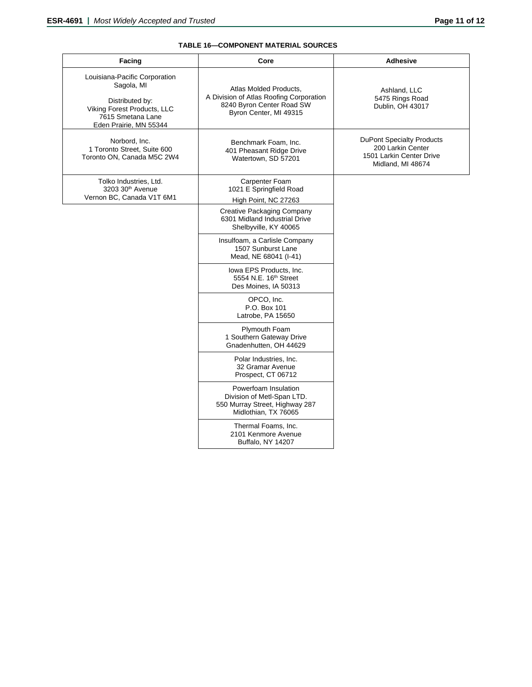# **TABLE 16—COMPONENT MATERIAL SOURCES**

| Facing                                                                                                                                       | Core                                                                                                                     | <b>Adhesive</b>                                                                                        |
|----------------------------------------------------------------------------------------------------------------------------------------------|--------------------------------------------------------------------------------------------------------------------------|--------------------------------------------------------------------------------------------------------|
| Louisiana-Pacific Corporation<br>Sagola, MI<br>Distributed by:<br>Viking Forest Products, LLC<br>7615 Smetana Lane<br>Eden Prairie, MN 55344 | Atlas Molded Products,<br>A Division of Atlas Roofing Corporation<br>8240 Byron Center Road SW<br>Byron Center, MI 49315 | Ashland, LLC<br>5475 Rings Road<br>Dublin, OH 43017                                                    |
| Norbord, Inc.<br>1 Toronto Street, Suite 600<br>Toronto ON, Canada M5C 2W4                                                                   | Benchmark Foam, Inc.<br>401 Pheasant Ridge Drive<br>Watertown, SD 57201                                                  | <b>DuPont Specialty Products</b><br>200 Larkin Center<br>1501 Larkin Center Drive<br>Midland, MI 48674 |
| Tolko Industries, Ltd.<br>3203 30 <sup>th</sup> Avenue<br>Vernon BC, Canada V1T 6M1                                                          | Carpenter Foam<br>1021 E Springfield Road<br>High Point, NC 27263                                                        |                                                                                                        |
|                                                                                                                                              | Creative Packaging Company<br>6301 Midland Industrial Drive<br>Shelbyville, KY 40065                                     |                                                                                                        |
|                                                                                                                                              | Insulfoam, a Carlisle Company<br>1507 Sunburst Lane<br>Mead, NE 68041 (I-41)                                             |                                                                                                        |
|                                                                                                                                              | Iowa EPS Products, Inc.<br>5554 N.E. 16 <sup>th</sup> Street<br>Des Moines, IA 50313                                     |                                                                                                        |
|                                                                                                                                              | OPCO, Inc.<br>P.O. Box 101<br>Latrobe, PA 15650                                                                          |                                                                                                        |
|                                                                                                                                              | <b>Plymouth Foam</b><br>1 Southern Gateway Drive<br>Gnadenhutten, OH 44629                                               |                                                                                                        |
|                                                                                                                                              | Polar Industries, Inc.<br>32 Gramar Avenue<br>Prospect, CT 06712                                                         |                                                                                                        |
|                                                                                                                                              | Powerfoam Insulation<br>Division of Metl-Span LTD.<br>550 Murray Street, Highway 287<br>Midlothian, TX 76065             |                                                                                                        |
|                                                                                                                                              | Thermal Foams, Inc.<br>2101 Kenmore Avenue<br>Buffalo, NY 14207                                                          |                                                                                                        |